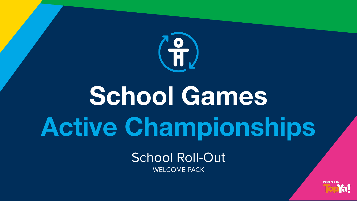

## **School Games Active Championships**

School Roll-Out WELCOME PACK

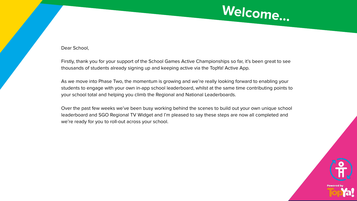

## Dear School,

Firstly, thank you for your support of the School Games Active Championships so far, it's been great to see thousands of students already signing up and keeping active via the TopYa! Active App.

As we move into Phase Two, the momentum is growing and we're really looking forward to enabling your students to engage with your own in-app school leaderboard, whilst at the same time contributing points to your school total and helping you climb the Regional and National Leaderboards.

Over the past few weeks we've been busy working behind the scenes to build out your own unique school leaderboard and SGO Regional TV Widget and I'm pleased to say these steps are now all completed and we're ready for you to roll-out across your school.

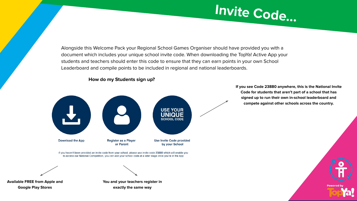

Alongside this Welcome Pack your Regional School Games Organiser should have provided you with a document which includes your unique school invite code. When downloading the TopYa! Active App your students and teachers should enter this code to ensure that they can earn points in your own School Leaderboard and compile points to be included in regional and national leaderboards.



**How do my Students sign up?**

**If you see Code 23880 anywhere, this is the National Invite Code for students that aren't part of a school that has signed up to run their own in-school leaderboard and compete against other schools across the country.** 

**Powered b**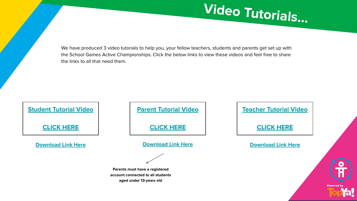We have produced 3 video tutorials to help you, your fellow teachers, students and parents get set up with the School Games Active Championships. Click the below links to view these videos and feel free to share the links to all that need them.

| <b>Student Tutorial Video</b> |  |
|-------------------------------|--|
| <b>CLICK HERE</b>             |  |
| <b>Download Link Here</b>     |  |

**[Parent Tutorial Video](https://vimeo.com/423604569)**

**[CLICK HERE](https://vimeo.com/423604569)**

**[Download Link Here](https://vimeo.com/user25009636/download/423606411/2a07b72ce9)** 

**Parents must have a registered account connected to all students aged under 13-years old**

| <b>Teacher Tutorial Video</b> |                   |
|-------------------------------|-------------------|
| <b>CLICK HERE</b>             |                   |
| <b>Download Link Here</b>     |                   |
|                               |                   |
|                               |                   |
|                               | <b>Powered by</b> |

**Video Tutorials...**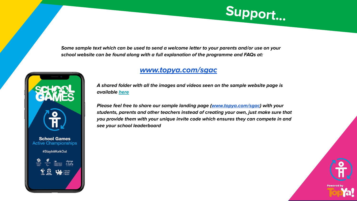

**Some sample text which can be used to send a welcome letter to your parents and/or use on your school website can be found along with a full explanation of the programme and FAQs at:** 

**School Games Active Championships** #StayInWorkOut

 $\sum_{\text{SPORT}}$ 

change<br>4 LiFE

## **[www.topya.com/sgac](http://www.topya.com/sgac)**

**A shared folder with all the images and videos seen on the sample website page is available [here](https://drive.google.com/drive/folders/16x0J2KPSWxXq_8JaDAW59txA_hqshvUs?usp=sharing)**

**Please feel free to share our sample landing page ([www.topya.com/sgac](http://www.topya.com/sgac)) with your students, parents and other teachers instead of creating your own, just make sure that you provide them with your unique invite code which ensures they can compete in and see your school leaderboard**

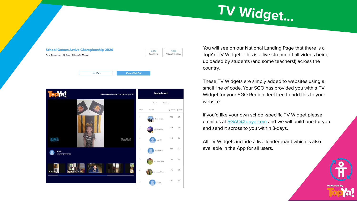



You will see on our National Landing Page that there is a TopYa! TV Widget… this is a live stream off all videos being uploaded by students (and some teachers!) across the country.

**TV Widget...**

These TV Widgets are simply added to websites using a small line of code. Your SGO has provided you with a TV Widget for your SGO Region, feel free to add this to your website.

If you'd like your own school-specific TV Widget please email us at **SGAC@topya.com** and we will build one for you and send it across to you within 3-days.

All TV Widgets include a live leaderboard which is also available in the App for all users.

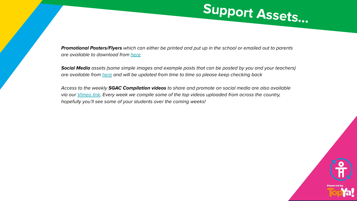

**Promotional Posters/Flyers** which can either be printed and put up in the school or emailed out to parents are available to download from [here](https://drive.google.com/drive/folders/1nZhbJaXAO7VpOQCFhdGurOthhy8sxFew?usp=sharing)

**Social Media** assets (some simple images and example posts that can be posted by you and your teachers) are available from [here](https://drive.google.com/drive/folders/1zrAiS-QszAzNXIlRJ09kIrnTkKTOKCSi?usp=sharing) and will be updated from time to time so please keep checking back

Access to the weekly **SGAC Compilation videos** to share and promote on social media are also available via our [Vimeo link.](https://vimeo.com/showcase/schoolgames-highlights) Every week we compile some of the top videos uploaded from across the country, hopefully you'll see some of your students over the coming weeks!

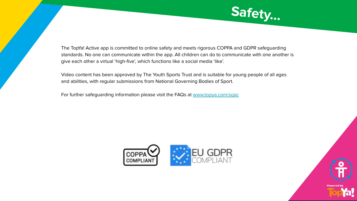

The TopYa! Active app is committed to online safety and meets rigorous COPPA and GDPR safeguarding standards. No one can communicate within the app. All children can do to communicate with one another is give each other a virtual 'high-five', which functions like a social media 'like'.

Video content has been approved by The Youth Sports Trust and is suitable for young people of all ages and abilities, with regular submissions from National Governing Bodies of Sport.

For further safeguarding information please visit the FAQs at [www.topya.com/sgac](http://www.topya.com/sgac)